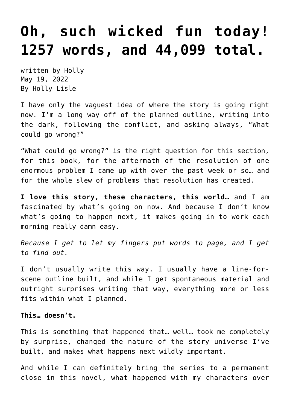## **[Oh, such wicked fun today!](https://hollylisle.com/oh-such-wicked-fun-today-1257-words-and-44099-total/) [1257 words, and 44,099 total.](https://hollylisle.com/oh-such-wicked-fun-today-1257-words-and-44099-total/)**

written by Holly May 19, 2022 [By Holly Lisle](https://hollylisle.com)

I have only the vaguest idea of where the story is going right now. I'm a long way off of the planned outline, writing into the dark, following the conflict, and asking always, "What could go wrong?"

"What could go wrong?" is the right question for this section, for this book, for the aftermath of the resolution of one enormous problem I came up with over the past week or so… and for the whole slew of problems that resolution has created.

**I love this story, these characters, this world…** and I am fascinated by what's going on now. And because I don't know what's going to happen next, it makes going in to work each morning really damn easy.

*Because I get to let my fingers put words to page, and I get to find out.*

I don't usually write this way. I usually have a line-forscene outline built, and while I get spontaneous material and outright surprises writing that way, everything more or less fits within what I planned.

## **This… doesn't.**

This is something that happened that… well… took me completely by surprise, changed the nature of the story universe I've built, and makes what happens next wildly important.

And while I can definitely bring the series to a permanent close in this novel, what happened with my characters over